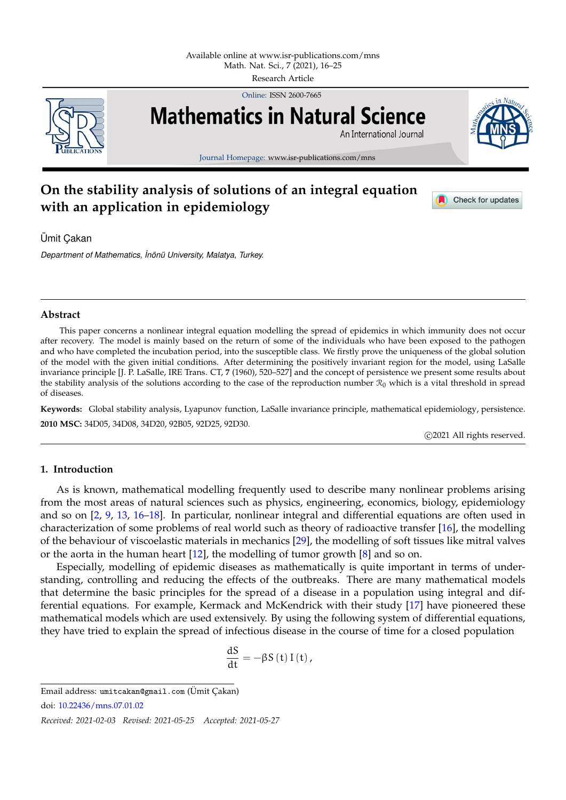

Online: ISSN 2600-7665



Journal Homepage: www.isr-publications.com/mns

# **On the stability analysis of solutions of an integral equation with an application in epidemiology**



Check for updates

Ümit Cakan

*Department of Mathematics, ˙Inon¨ u University, Malatya, Turkey. ¨*

## **Abstract**

This paper concerns a nonlinear integral equation modelling the spread of epidemics in which immunity does not occur after recovery. The model is mainly based on the return of some of the individuals who have been exposed to the pathogen and who have completed the incubation period, into the susceptible class. We firstly prove the uniqueness of the global solution of the model with the given initial conditions. After determining the positively invariant region for the model, using LaSalle invariance principle [J. P. LaSalle, IRE Trans. CT, **7** (1960), 520–527] and the concept of persistence we present some results about the stability analysis of the solutions according to the case of the reproduction number  $\mathcal{R}_0$  which is a vital threshold in spread of diseases.

**Keywords:** Global stability analysis, Lyapunov function, LaSalle invariance principle, mathematical epidemiology, persistence. **2010 MSC:** 34D05, 34D08, 34D20, 92B05, 92D25, 92D30.

c 2021 All rights reserved.

## <span id="page-0-0"></span>**1. Introduction**

As is known, mathematical modelling frequently used to describe many nonlinear problems arising from the most areas of natural sciences such as physics, engineering, economics, biology, epidemiology and so on [\[2,](#page-9-0) [9,](#page-9-1) [13,](#page-9-2) [16](#page-9-3)[–18\]](#page-9-4). In particular, nonlinear integral and differential equations are often used in characterization of some problems of real world such as theory of radioactive transfer [\[16\]](#page-9-3), the modelling of the behaviour of viscoelastic materials in mechanics [\[29\]](#page-9-5), the modelling of soft tissues like mitral valves or the aorta in the human heart [\[12\]](#page-9-6), the modelling of tumor growth [\[8\]](#page-9-7) and so on.

Especially, modelling of epidemic diseases as mathematically is quite important in terms of understanding, controlling and reducing the effects of the outbreaks. There are many mathematical models that determine the basic principles for the spread of a disease in a population using integral and differential equations. For example, Kermack and McKendrick with their study [\[17\]](#page-9-8) have pioneered these mathematical models which are used extensively. By using the following system of differential equations, they have tried to explain the spread of infectious disease in the course of time for a closed population

$$
\frac{\mathrm{d}S}{\mathrm{d}t} = -\beta S(t) I(t),
$$

Email address: umitcakan@gmail.com (Ümit Çakan)

doi: [10.22436/mns.07.01.02](http://dx.doi.org/10.22436/mns.07.01.02)

*Received: 2021-02-03 Revised: 2021-05-25 Accepted: 2021-05-27*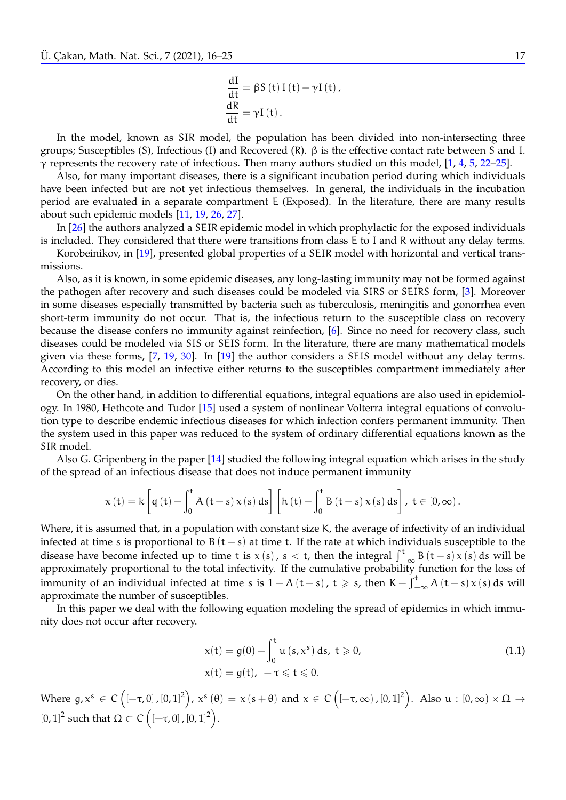$$
\frac{dI}{dt} = \beta S(t) I(t) - \gamma I(t),
$$
  

$$
\frac{dR}{dt} = \gamma I(t).
$$

In the model, known as SIR model, the population has been divided into non-intersecting three groups; Susceptibles (S), Infectious (I) and Recovered (R). β is the effective contact rate between S and I. γ represents the recovery rate of infectious. Then many authors studied on this model, [\[1,](#page-9-9) [4,](#page-9-10) [5,](#page-9-11) [22–](#page-9-12)[25\]](#page-9-13).

Also, for many important diseases, there is a significant incubation period during which individuals have been infected but are not yet infectious themselves. In general, the individuals in the incubation period are evaluated in a separate compartment E (Exposed). In the literature, there are many results about such epidemic models [\[11,](#page-9-14) [19,](#page-9-15) [26,](#page-9-16) [27\]](#page-9-17).

In [\[26\]](#page-9-16) the authors analyzed a SEIR epidemic model in which prophylactic for the exposed individuals is included. They considered that there were transitions from class E to I and R without any delay terms.

Korobeinikov, in [\[19\]](#page-9-15), presented global properties of a SEIR model with horizontal and vertical transmissions.

Also, as it is known, in some epidemic diseases, any long-lasting immunity may not be formed against the pathogen after recovery and such diseases could be modeled via SIRS or SEIRS form, [\[3\]](#page-9-18). Moreover in some diseases especially transmitted by bacteria such as tuberculosis, meningitis and gonorrhea even short-term immunity do not occur. That is, the infectious return to the susceptible class on recovery because the disease confers no immunity against reinfection, [\[6\]](#page-9-19). Since no need for recovery class, such diseases could be modeled via SIS or SEIS form. In the literature, there are many mathematical models given via these forms, [\[7,](#page-9-20) [19,](#page-9-15) [30\]](#page-9-21). In [\[19\]](#page-9-15) the author considers a SEIS model without any delay terms. According to this model an infective either returns to the susceptibles compartment immediately after recovery, or dies.

On the other hand, in addition to differential equations, integral equations are also used in epidemiology. In 1980, Hethcote and Tudor [\[15\]](#page-9-22) used a system of nonlinear Volterra integral equations of convolution type to describe endemic infectious diseases for which infection confers permanent immunity. Then the system used in this paper was reduced to the system of ordinary differential equations known as the SIR model.

Also G. Gripenberg in the paper [\[14\]](#page-9-23) studied the following integral equation which arises in the study of the spread of an infectious disease that does not induce permanent immunity

$$
x\left(t\right)=k\left[q\left(t\right)-\int_{0}^{t}A\left(t-s\right)x\left(s\right)ds\right]\left[h\left(t\right)-\int_{0}^{t}B\left(t-s\right)x\left(s\right)ds\right],\;t\in\left[0,\infty\right).
$$

Where, it is assumed that, in a population with constant size K, the average of infectivity of an individual infected at time s is proportional to  $B(t-s)$  at time t. If the rate at which individuals susceptible to the disease have become infected up to time t is  $x(s)$ ,  $s < t$ , then the integral  $\int_{-\infty}^{t} B(t-s)x(s) ds$  will be approximately proportional to the total infectivity. If the cumulative probability function for the less of approximately proportional to the total infectivity. If the cumulative probability function for the loss of immunity of an individual infected at time s is  $1 - A(t-s)$ ,  $t \ge s$ , then  $K - \int_{-\infty}^{t} A(t-s)x(s) ds$  will approximate the number of susceptibles.

In this paper we deal with the following equation modeling the spread of epidemics in which immunity does not occur after recovery.

<span id="page-1-0"></span>
$$
x(t) = g(0) + \int_0^t u(s, x^s) ds, t \ge 0,
$$
  
\n
$$
x(t) = g(t), -\tau \le t \le 0.
$$
\n(1.1)

Where  $g, x^s \in C([-\tau,0], [0,1]^2), x^s(\theta) = x(s+\theta)$  and  $x \in C([-\tau,\infty), [0,1]^2)$ . Also  $u : [0,\infty) \times \Omega \to$ [0, 1]<sup>2</sup> such that  $Ω ⊂ C ([-\tau, 0], [0, 1]^2)$ .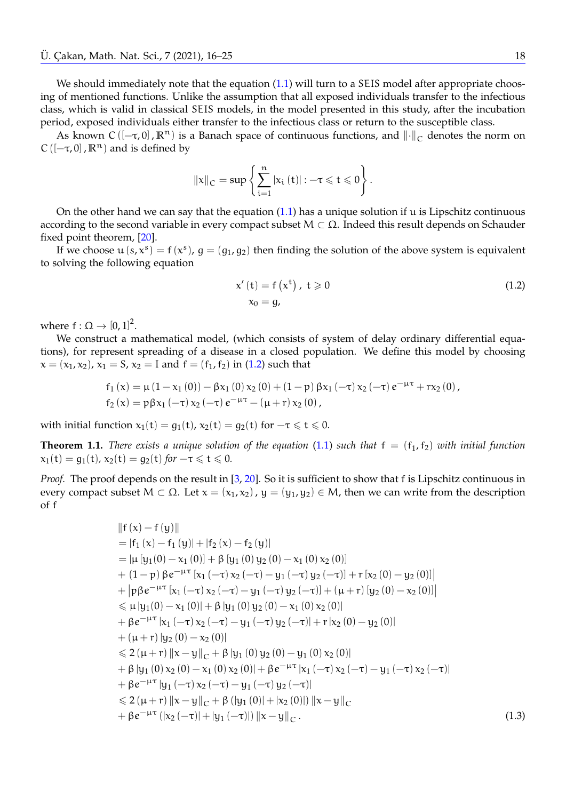We should immediately note that the equation [\(1.1\)](#page-1-0) will turn to a SEIS model after appropriate choosing of mentioned functions. Unlike the assumption that all exposed individuals transfer to the infectious class, which is valid in classical SEIS models, in the model presented in this study, after the incubation period, exposed individuals either transfer to the infectious class or return to the susceptible class.

As known C ( $[-\tau, 0]$ ,  $\mathbb{R}^n$ ) is a Banach space of continuous functions, and  $\|\cdot\|_C$  denotes the norm on C ( $[-\tau, 0]$ ,  $\mathbb{R}^n$ ) and is defined by

$$
\left\|x\right\|_{C}=\sup\left\{\sum_{i=1}^{n}\left|x_{i}\left(t\right)\right|:-\tau\leqslant t\leqslant0\right\}.
$$

On the other hand we can say that the equation  $(1.1)$  has a unique solution if u is Lipschitz continuous according to the second variable in every compact subset  $M \subset \Omega$ . Indeed this result depends on Schauder fixed point theorem, [\[20\]](#page-9-24).

If we choose  $\mathfrak{u}(s,x^s) = f(x^s)$ ,  $g = (g_1, g_2)$  then finding the solution of the above system is equivalent to solving the following equation

<span id="page-2-0"></span>
$$
x'(t) = f(xt) , t \ge 0
$$
  
\n
$$
x_0 = g,
$$
\n(1.2)

where  $f : \Omega \to [0,1]^2$ .

We construct a mathematical model, (which consists of system of delay ordinary differential equations), for represent spreading of a disease in a closed population. We define this model by choosing  $x = (x_1, x_2), x_1 = S, x_2 = I$  and  $f = (f_1, f_2)$  in [\(1.2\)](#page-2-0) such that

$$
\begin{array}{l} {f_1}\left( x \right) = \mu \left( {1 - {x_1}\left( 0 \right)} \right) - \beta {x_1}\left( 0 \right){x_2}\left( 0 \right) + \left( {1 - p} \right)\beta {x_1}\left( { - \tau } \right){x_2}\left( { - \tau } \right){e^{ - \mu \tau }} + r{x_2}\left( 0 \right),\\ {f_2}\left( x \right) = p\beta {x_1}\left( { - \tau } \right){x_2}\left( { - \tau } \right){e^{ - \mu \tau }} - \left( {\mu + r} \right){x_2}\left( 0 \right),\\ \end{array}
$$

with initial function  $x_1(t) = g_1(t)$ ,  $x_2(t) = g_2(t)$  for  $-\tau \le t \le 0$ .

<span id="page-2-2"></span>**Theorem 1.1.** *There exists a unique solution of the equation* [\(1.1\)](#page-1-0) *such that*  $f = (f_1, f_2)$  *with initial function*  $x_1(t) = g_1(t)$ ,  $x_2(t) = g_2(t)$  *for*  $-\tau \le t \le 0$ *.* 

*Proof.* The proof depends on the result in [\[3,](#page-9-18) [20\]](#page-9-24). So it is sufficient to show that f is Lipschitz continuous in every compact subset  $M \subset \Omega$ . Let  $x = (x_1, x_2)$ ,  $y = (y_1, y_2) \in M$ , then we can write from the description of f

<span id="page-2-1"></span>
$$
||f(x) - f(y)||
$$
  
\n
$$
= |f_1(x) - f_1(y)| + |f_2(x) - f_2(y)|
$$
  
\n
$$
= |\mu[y_1(0) - x_1(0)] + \beta[y_1(0) y_2(0) - x_1(0) x_2(0)]
$$
  
\n
$$
+ (1-p) \beta e^{-\mu \tau} [x_1(-\tau) x_2(-\tau) - y_1(-\tau) y_2(-\tau)] + r [x_2(0) - y_2(0)]|
$$
  
\n
$$
+ |p\beta e^{-\mu \tau} [x_1(-\tau) x_2(-\tau) - y_1(-\tau) y_2(-\tau)] + (\mu + r) [y_2(0) - x_2(0)]|
$$
  
\n
$$
\leq \mu |y_1(0) - x_1(0)| + \beta |y_1(0) y_2(0) - x_1(0) x_2(0)|
$$
  
\n
$$
+ \beta e^{-\mu \tau} [x_1(-\tau) x_2(-\tau) - y_1(-\tau) y_2(-\tau)] + r |x_2(0) - y_2(0)|
$$
  
\n
$$
+ (\mu + r) |y_2(0) - x_2(0)|
$$
  
\n
$$
\leq 2(\mu + r) ||x - y||_C + \beta |y_1(0) y_2(0) - y_1(0) x_2(0)|
$$
  
\n
$$
+ \beta |y_1(0) x_2(0) - x_1(0) x_2(0)| + \beta e^{-\mu \tau} |x_1(-\tau) x_2(-\tau) - y_1(-\tau) x_2(-\tau)|
$$
  
\n
$$
+ \beta e^{-\mu \tau} |y_1(-\tau) x_2(-\tau) - y_1(-\tau) y_2(-\tau)|
$$
  
\n
$$
\leq 2(\mu + r) ||x - y||_C + \beta (|y_1(0)| + |x_2(0)|) ||x - y||_C
$$
  
\n
$$
+ \beta e^{-\mu \tau} (|x_2(-\tau)| + |y_1(-\tau)|) ||x - y||_C.
$$
 (1.3)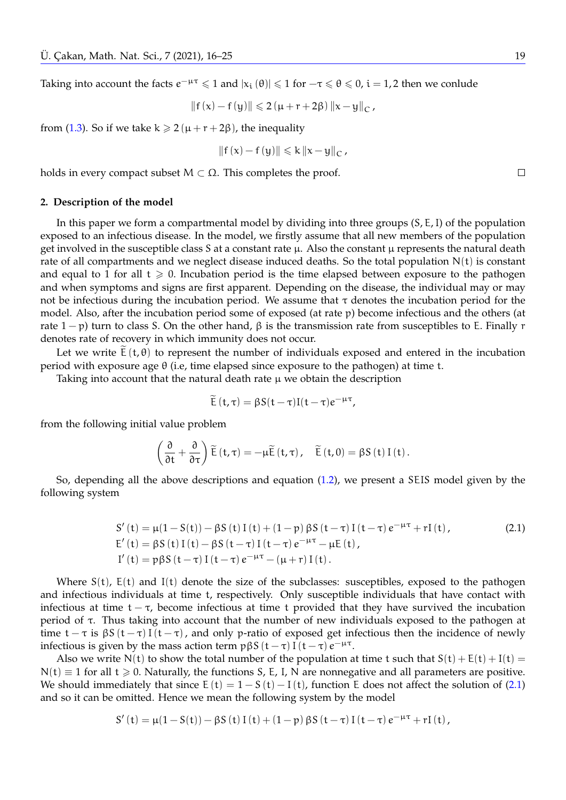Taking into account the facts  $e^{-\mu\tau} \leq 1$  and  $|x_i(\theta)| \leq 1$  for  $-\tau \leq \theta \leq 0$ ,  $i = 1, 2$  then we conlude

$$
\left\|f\left(x\right)-f\left(y\right)\right\|\leqslant 2\left(\mu+r+2\beta\right)\left\|x-y\right\|_C\text{,}
$$

from [\(1.3\)](#page-2-1). So if we take  $k \ge 2(\mu + r + 2\beta)$ , the inequality

$$
\left\|f\left(x\right)-f\left(y\right)\right\|\leqslant k\left\|x-y\right\|_C,
$$

holds in every compact subset  $M \subset \Omega$ . This completes the proof.

#### **2. Description of the model**

In this paper we form a compartmental model by dividing into three groups (S, E,I) of the population exposed to an infectious disease. In the model, we firstly assume that all new members of the population get involved in the susceptible class S at a constant rate  $\mu$ . Also the constant  $\mu$  represents the natural death rate of all compartments and we neglect disease induced deaths. So the total population  $N(t)$  is constant and equal to 1 for all  $t \ge 0$ . Incubation period is the time elapsed between exposure to the pathogen and when symptoms and signs are first apparent. Depending on the disease, the individual may or may not be infectious during the incubation period. We assume that  $τ$  denotes the incubation period for the model. Also, after the incubation period some of exposed (at rate p) become infectious and the others (at rate  $1 - p$ ) turn to class S. On the other hand,  $\beta$  is the transmission rate from susceptibles to E. Finally r denotes rate of recovery in which immunity does not occur.

Let we write  $\tilde{E}(t, \theta)$  to represent the number of individuals exposed and entered in the incubation period with exposure age θ (i.e, time elapsed since exposure to the pathogen) at time t.

Taking into account that the natural death rate  $\mu$  we obtain the description

<span id="page-3-0"></span>
$$
\widetilde{E}(t,\tau)=\beta S(t-\tau)I(t-\tau)e^{-\mu\tau},
$$

from the following initial value problem

$$
\left(\frac{\partial}{\partial t} + \frac{\partial}{\partial \tau}\right) \widetilde{E}(t, \tau) = -\mu \widetilde{E}(t, \tau), \quad \widetilde{E}(t, 0) = \beta S(t) I(t).
$$

So, depending all the above descriptions and equation [\(1.2\)](#page-2-0), we present a SEIS model given by the following system

$$
S'(t) = \mu(1 - S(t)) - \beta S(t) I(t) + (1 - p) \beta S(t - \tau) I(t - \tau) e^{-\mu \tau} + rI(t),
$$
  
\n
$$
E'(t) = \beta S(t) I(t) - \beta S(t - \tau) I(t - \tau) e^{-\mu \tau} - \mu E(t),
$$
  
\n
$$
I'(t) = p \beta S(t - \tau) I(t - \tau) e^{-\mu \tau} - (\mu + r) I(t).
$$
\n(2.1)

Where  $S(t)$ ,  $E(t)$  and  $I(t)$  denote the size of the subclasses: susceptibles, exposed to the pathogen and infectious individuals at time t, respectively. Only susceptible individuals that have contact with infectious at time  $t - \tau$ , become infectious at time t provided that they have survived the incubation period of τ. Thus taking into account that the number of new individuals exposed to the pathogen at time  $t - \tau$  is  $\beta S(t - \tau) I(t - \tau)$ , and only p-ratio of exposed get infectious then the incidence of newly infectious is given by the mass action term  $p\beta S(t-\tau) I(t-\tau) e^{-\mu \tau}$ .

Also we write N(t) to show the total number of the population at time t such that  $S(t) + E(t) + I(t) =$  $N(t) \equiv 1$  for all  $t \ge 0$ . Naturally, the functions S, E, I, N are nonnegative and all parameters are positive. We should immediately that since  $E(t) = 1 - S(t) - I(t)$ , function E does not affect the solution of [\(2.1\)](#page-3-0) and so it can be omitted. Hence we mean the following system by the model

$$
S'\left(t\right)=\mu(1-S(t))-\beta S\left(t\right)I\left(t\right)+\left(1-p\right)\beta S\left(t-\tau\right)I\left(t-\tau\right)e^{-\mu\tau}+rI\left(t\right),
$$

 $\Box$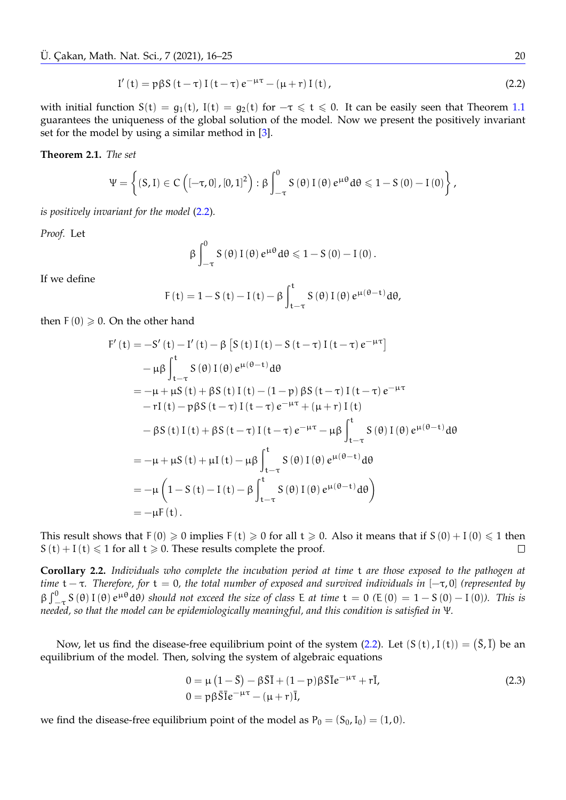$$
I'(t) = p\beta S(t-\tau) I(t-\tau) e^{-\mu\tau} - (\mu+r) I(t), \qquad (2.2)
$$

with initial function  $S(t) = g_1(t)$ ,  $I(t) = g_2(t)$  for  $-\tau \leq t \leq 0$ . It can be easily seen that Theorem [1.1](#page-2-2) guarantees the uniqueness of the global solution of the model. Now we present the positively invariant set for the model by using a similar method in [\[3\]](#page-9-18).

#### **Theorem 2.1.** *The set*

$$
\Psi=\left\{\left(S,I\right)\in C\left(\left[-\tau,0\right],\left[0,1\right]^2\right):\beta\int_{-\tau}^0S\left(\theta\right)I\left(\theta\right)e^{\mu\theta}d\theta\leqslant1-S\left(0\right)-I\left(0\right)\right\},
$$

*is positively invariant for the model* [\(2.2\)](#page-4-0)*.*

*Proof.* Let

<span id="page-4-0"></span>
$$
\beta \int_{-\tau}^{0} S\left(\theta\right) I\left(\theta\right) e^{\mu \theta} d\theta \leqslant 1-S\left(0\right)-I\left(0\right).
$$

If we define

$$
F(t) = 1 - S(t) - I(t) - \beta \int_{t-\tau}^{t} S(\theta) I(\theta) e^{\mu(\theta - t)} d\theta,
$$

then  $F(0) \ge 0$ . On the other hand

$$
F'(t) = -S'(t) - I'(t) - \beta [S(t) I(t) - S(t-\tau) I(t-\tau) e^{-\mu \tau}]
$$
  
\n
$$
- \mu \beta \int_{t-\tau}^{t} S(\theta) I(\theta) e^{\mu(\theta-t)} d\theta
$$
  
\n
$$
= -\mu + \mu S(t) + \beta S(t) I(t) - (1-\rho) \beta S(t-\tau) I(t-\tau) e^{-\mu \tau}
$$
  
\n
$$
- rI(t) - \rho \beta S(t-\tau) I(t-\tau) e^{-\mu \tau} + (\mu + r) I(t)
$$
  
\n
$$
- \beta S(t) I(t) + \beta S(t-\tau) I(t-\tau) e^{-\mu \tau} - \mu \beta \int_{t-\tau}^{t} S(\theta) I(\theta) e^{\mu(\theta-t)} d\theta
$$
  
\n
$$
= -\mu + \mu S(t) + \mu I(t) - \mu \beta \int_{t-\tau}^{t} S(\theta) I(\theta) e^{\mu(\theta-t)} d\theta
$$
  
\n
$$
= -\mu \left(1 - S(t) - I(t) - \beta \int_{t-\tau}^{t} S(\theta) I(\theta) e^{\mu(\theta-t)} d\theta\right)
$$
  
\n
$$
= -\mu F(t).
$$

This result shows that  $F(0) \ge 0$  implies  $F(t) \ge 0$  for all  $t \ge 0$ . Also it means that if  $S(0) + I(0) \le 1$  then  $S(t) + I(t) \le 1$  for all  $t \ge 0$ . These results complete the proof.  $\Box$ 

**Corollary 2.2.** *Individuals who complete the incubation period at time* t *are those exposed to the pathogen at time* t − τ*. Therefore, for* t = 0*, the total number of exposed and survived individuals in* [−τ, 0] *(represented by*  $\beta \int_{-\tau}^{0} S(\theta) I(\theta) e^{\mu \theta} d\theta$ *)* should not exceed the size of class E at time  $t = 0$  (E(0) = 1 – S(0) – I(0)). This is *needed, so that the model can be epidemiologically meaningful, and this condition is satisfied in* Ψ*.*

Now, let us find the disease-free equilibrium point of the system  $(2.2)$ . Let  $(S(t), I(t)) = (\bar{S}, \bar{I})$  be an equilibrium of the model. Then, solving the system of algebraic equations

$$
0 = \mu \left(1 - \bar{S}\right) - \beta \bar{S}\bar{I} + (1 - p)\beta \bar{S}\bar{I}e^{-\mu\tau} + r\bar{I},
$$
  
\n
$$
0 = p\beta \bar{S}\bar{I}e^{-\mu\tau} - (\mu + r)\bar{I},
$$
\n(2.3)

we find the disease-free equilibrium point of the model as  $P_0 = (S_0, I_0) = (1, 0)$ .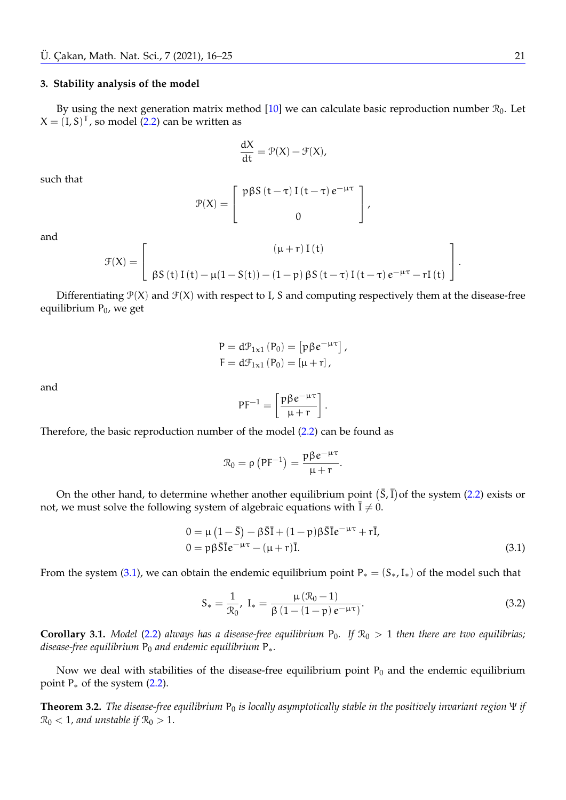### <span id="page-5-1"></span>**3. Stability analysis of the model**

By using the next generation matrix method [\[10\]](#page-9-25) we can calculate basic reproduction number  $\mathcal{R}_0$ . Let  $X = (I, S)^T$ , so model [\(2.2\)](#page-4-0) can be written as

$$
\frac{\mathrm{d}X}{\mathrm{dt}} = \mathcal{P}(X) - \mathcal{F}(X),
$$

such that

$$
\mathcal{P}(X) = \left[ \begin{array}{c} \mathfrak{p} \beta S \left( t - \tau \right) I \left( t - \tau \right) e^{-\mu \tau} \\ 0 \end{array} \right],
$$

and

$$
\mathcal{F}(X)=\left[\begin{array}{c} \left(\mu+r\right)I\left(t\right) \\ \beta S\left(t\right)I\left(t\right)-\mu(1-S(t))-\left(1-p\right)\beta S\left(t-\tau\right)I\left(t-\tau\right)e^{-\mu\tau}-rI\left(t\right) \end{array}\right].
$$

Differentiating  $\mathcal{P}(X)$  and  $\mathcal{F}(X)$  with respect to I, S and computing respectively them at the disease-free equilibrium  $P_0$ , we get

$$
P = d\mathcal{P}_{1x1} (P_0) = [p\beta e^{-\mu\tau}],
$$
  
\n
$$
F = d\mathcal{F}_{1x1} (P_0) = [\mu + r],
$$

and

$$
PF^{-1} = \left[\frac{p\beta e^{-\mu\tau}}{\mu+r}\right].
$$

Therefore, the basic reproduction number of the model [\(2.2\)](#page-4-0) can be found as

<span id="page-5-0"></span>
$$
\mathcal{R}_0 = \rho \left( \mathsf{P} \mathsf{F}^{-1} \right) = \frac{\mathsf{p} \beta e^{-\mu \tau}}{\mu + r}.
$$

On the other hand, to determine whether another equilibrium point  $(\bar{S}, \bar{I})$  of the system [\(2.2\)](#page-4-0) exists or not, we must solve the following system of algebraic equations with  $\overline{I} \neq 0$ .

$$
0 = \mu \left(1 - \bar{S}\right) - \beta \bar{S}\bar{I} + (1 - p)\beta \bar{S}\bar{I}e^{-\mu\tau} + r\bar{I},
$$
  
\n
$$
0 = p\beta \bar{S}\bar{I}e^{-\mu\tau} - (\mu + r)\bar{I}.
$$
\n(3.1)

From the system [\(3.1\)](#page-5-0), we can obtain the endemic equilibrium point  $P_*(S_*,I_*)$  of the model such that

$$
S_* = \frac{1}{\mathcal{R}_0}, \ I_* = \frac{\mu (\mathcal{R}_0 - 1)}{\beta (1 - (1 - p) e^{-\mu \tau})}.
$$
\n(3.2)

**Corollary 3.1.** *Model* [\(2.2\)](#page-4-0) *always has a disease-free equilibrium*  $P_0$ *. If*  $\mathcal{R}_0 > 1$  *then there are two equilibrias; disease-free equilibrium* P<sub>0</sub> *and endemic equilibrium* P<sub>∗</sub>.

Now we deal with stabilities of the disease-free equilibrium point  $P_0$  and the endemic equilibrium point  $P_*$  of the system  $(2.2)$ .

**Theorem 3.2.** *The disease-free equilibrium*  $P_0$  *is locally asymptotically stable in the positively invariant region* Ψ *if*  $\mathcal{R}_0$  < 1, and unstable if  $\mathcal{R}_0 > 1$ .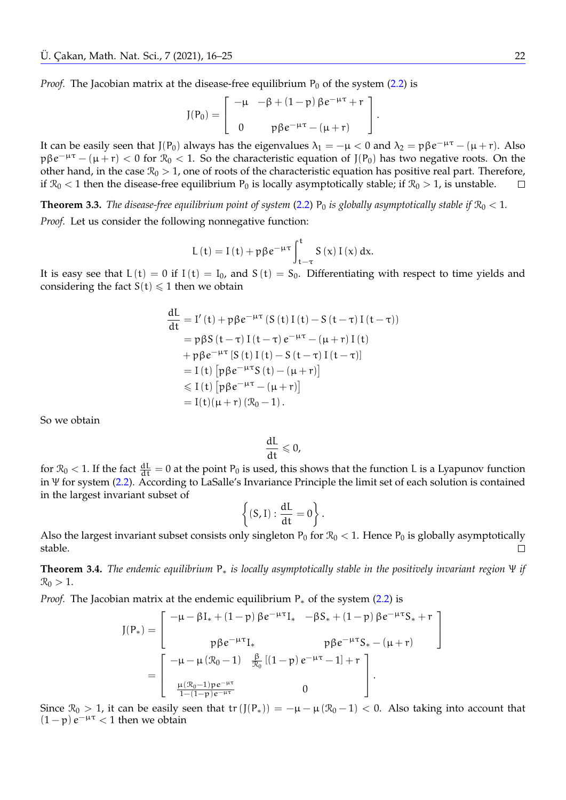*Proof.* The Jacobian matrix at the disease-free equilibrium  $P_0$  of the system [\(2.2\)](#page-4-0) is

$$
J(P_0) = \begin{bmatrix} -\mu & -\beta + (1-p) \beta e^{-\mu \tau} + r \\ 0 & p \beta e^{-\mu \tau} - (\mu + r) \end{bmatrix}.
$$

It can be easily seen that J(P<sub>0</sub>) always has the eigenvalues  $\lambda_1 = -\mu < 0$  and  $\lambda_2 = p\beta e^{-\mu\tau} - (\mu + r)$ . Also  $p\beta e^{-\mu\tau} - (\mu + r) < 0$  for  $\mathcal{R}_0 < 1$ . So the characteristic equation of  $J(P_0)$  has two negative roots. On the other hand, in the case  $\mathcal{R}_0 > 1$ , one of roots of the characteristic equation has positive real part. Therefore, if  $\mathcal{R}_0$  < 1 then the disease-free equilibrium  $P_0$  is locally asymptotically stable; if  $\mathcal{R}_0 > 1$ , is unstable.  $\Box$ 

**Theorem 3.3.** *The disease-free equilibrium point of system* [\(2.2\)](#page-4-0)  $P_0$  *is globally asymptotically stable if*  $\mathcal{R}_0 < 1$ *. Proof.* Let us consider the following nonnegative function:

$$
L(t) = I(t) + p\beta e^{-\mu\tau} \int_{t-\tau}^{t} S(x) I(x) dx.
$$

It is easy see that  $L(t) = 0$  if  $I(t) = I_0$ , and  $S(t) = S_0$ . Differentiating with respect to time yields and considering the fact  $S(t) \leq 1$  then we obtain

$$
\frac{dL}{dt} = I'(t) + p\beta e^{-\mu\tau} (S(t) I(t) - S(t - \tau) I(t - \tau))
$$
\n
$$
= p\beta S(t - \tau) I(t - \tau) e^{-\mu\tau} - (\mu + r) I(t)
$$
\n
$$
+ p\beta e^{-\mu\tau} [S(t) I(t) - S(t - \tau) I(t - \tau)]
$$
\n
$$
= I(t) [p\beta e^{-\mu\tau} S(t) - (\mu + r)]
$$
\n
$$
\leq I(t) [p\beta e^{-\mu\tau} - (\mu + r)]
$$
\n
$$
= I(t)(\mu + r) (\Re \rho - 1).
$$

So we obtain

$$
\frac{dL}{dt} \leqslant 0,
$$

for  $\mathcal{R}_0$  < 1. If the fact  $\frac{dL}{dt} = 0$  at the point  $P_0$  is used, this shows that the function L is a Lyapunov function in Ψ for system [\(2.2\)](#page-4-0). According to LaSalle's Invariance Principle the limit set of each solution is contained in the largest invariant subset of

$$
\left\{(S,I): \frac{dL}{dt}=0\right\}.
$$

Also the largest invariant subset consists only singleton  $P_0$  for  $\mathcal{R}_0 < 1$ . Hence  $P_0$  is globally asymptotically stable.  $\Box$ 

**Theorem 3.4.** *The endemic equilibrium* P<sup>∗</sup> *is locally asymptotically stable in the positively invariant region* Ψ *if*  $\mathcal{R}_0 > 1$ .

*Proof.* The Jacobian matrix at the endemic equilibrium P<sub>∗</sub> of the system [\(2.2\)](#page-4-0) is

$$
J(P_*) = \begin{bmatrix} -\mu - \beta I_* + (1-p) \beta e^{-\mu \tau} I_* & -\beta S_* + (1-p) \beta e^{-\mu \tau} S_* + r \\ p \beta e^{-\mu \tau} I_* & p \beta e^{-\mu \tau} S_* - (\mu + r) \\ = \begin{bmatrix} -\mu - \mu (\mathcal{R}_0 - 1) & \frac{\beta}{\mathcal{R}_0} \left[ (1-p) e^{-\mu \tau} - 1 \right] + r \\ \frac{\mu (\mathcal{R}_0 - 1) p e^{-\mu \tau}}{1 - (1-p) e^{-\mu \tau}} & 0 \end{bmatrix}.
$$

Since  $\mathcal{R}_0 > 1$ , it can be easily seen that tr  $(J(P_*)) = -\mu - \mu(\mathcal{R}_0 - 1) < 0$ . Also taking into account that  $(1-p) e^{-\mu \tau} < 1$  then we obtain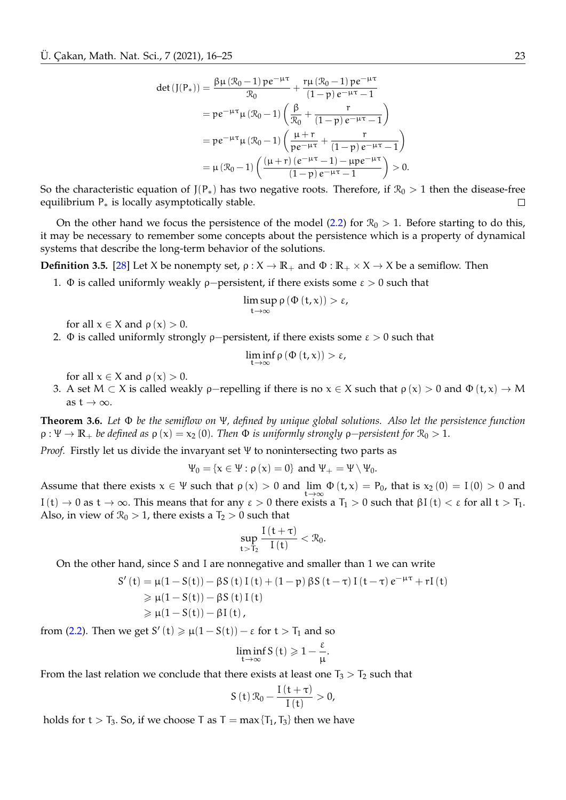$$
det (J(P_{*})) = \frac{\beta \mu (\mathcal{R}_{0} - 1) p e^{-\mu \tau}}{\mathcal{R}_{0}} + \frac{r \mu (\mathcal{R}_{0} - 1) p e^{-\mu \tau}}{(1 - p) e^{-\mu \tau} - 1}
$$
  
=  $p e^{-\mu \tau} \mu (\mathcal{R}_{0} - 1) \left( \frac{\beta}{\mathcal{R}_{0}} + \frac{r}{(1 - p) e^{-\mu \tau} - 1} \right)$   
=  $p e^{-\mu \tau} \mu (\mathcal{R}_{0} - 1) \left( \frac{\mu + r}{p e^{-\mu \tau}} + \frac{r}{(1 - p) e^{-\mu \tau} - 1} \right)$   
=  $\mu (\mathcal{R}_{0} - 1) \left( \frac{(\mu + r) (e^{-\mu \tau} - 1) - \mu p e^{-\mu \tau}}{(1 - p) e^{-\mu \tau} - 1} \right) > 0.$ 

So the characteristic equation of J(P<sub>\*</sub>) has two negative roots. Therefore, if  $\mathcal{R}_0 > 1$  then the disease-free equilibrium P<sup>∗</sup> is locally asymptotically stable.

On the other hand we focus the persistence of the model [\(2.2\)](#page-4-0) for  $\mathcal{R}_0 > 1$ . Before starting to do this, it may be necessary to remember some concepts about the persistence which is a property of dynamical systems that describe the long-term behavior of the solutions.

<span id="page-7-1"></span>**Definition 3.5.** [\[28\]](#page-9-26) Let X be nonempty set,  $\rho : X \to \mathbb{R}_+$  and  $\Phi : \mathbb{R}_+ \times X \to X$  be a semiflow. Then

1. Φ is called uniformly weakly  $\rho$ -persistent, if there exists some  $\varepsilon > 0$  such that

$$
\limsup_{t\to\infty}\rho\left(\Phi\left(t,x\right)\right)>\varepsilon,
$$

for all  $x \in X$  and  $\rho(x) > 0$ .

2. Φ is called uniformly strongly  $\rho$ -persistent, if there exists some  $\varepsilon > 0$  such that

$$
\liminf_{t\to\infty}\rho\left(\Phi\left(t,x\right)\right)>\varepsilon,
$$

for all  $x \in X$  and  $\rho(x) > 0$ .

3. A set  $M \subset X$  is called weakly  $\rho$ -repelling if there is no  $x \in X$  such that  $\rho(x) > 0$  and  $\Phi(t, x) \to M$ as  $t \to \infty$ .

<span id="page-7-0"></span>**Theorem 3.6.** *Let* Φ *be the semiflow on* Ψ*, defined by unique global solutions. Also let the persistence function*  $\rho : \Psi \to \mathbb{R}_+$  *be defined as*  $\rho(x) = x_2(0)$ *. Then*  $\Phi$  *is uniformly strongly*  $\rho$ *-persistent for*  $\mathcal{R}_0 > 1$ *.* 

*Proof.* Firstly let us divide the invaryant set Ψ to nonintersecting two parts as

 $\Psi_0 = {\mathbf{x} \in \Psi : \rho(\mathbf{x}) = 0}$  and  $\Psi_+ = \Psi \setminus \Psi_0$ .

Assume that there exists  $x \in \Psi$  such that  $\rho(x) > 0$  and lim <sup>t</sup>→<sup>∞</sup>  $\Phi(t, x) = P_0$ , that is  $x_2(0) = I(0) > 0$  and I(t) → 0 as t → ∞. This means that for any  $ε > 0$  there exists a  $T_1 > 0$  such that  $βI(t) < ε$  for all  $t > T_1$ . Also, in view of  $\mathcal{R}_0 > 1$ , there exists a  $T_2 > 0$  such that

$$
\sup_{t>T_2}\frac{I(t+\tau)}{I(t)}<\mathcal{R}_0.
$$

On the other hand, since S and I are nonnegative and smaller than 1 we can write

$$
S'(t) = \mu(1 - S(t)) - \beta S(t) I(t) + (1 - p) \beta S(t - \tau) I(t - \tau) e^{-\mu \tau} + rI(t)
$$
  
\n
$$
\geq \mu(1 - S(t)) - \beta S(t) I(t)
$$
  
\n
$$
\geq \mu(1 - S(t)) - \beta I(t),
$$

from [\(2.2\)](#page-4-0). Then we get  $S'(t) \ge \mu(1-S(t)) - \varepsilon$  for  $t > T_1$  and so

$$
\liminf_{t\to\infty}S\left(t\right)\geqslant1-\frac{\epsilon}{\mu}.
$$

From the last relation we conclude that there exists at least one  $T_3 > T_2$  such that

$$
S(t) \mathcal{R}_0 - \frac{I(t+\tau)}{I(t)} > 0,
$$

holds for  $t > T_3$ . So, if we choose T as  $T = max\{T_1, T_3\}$  then we have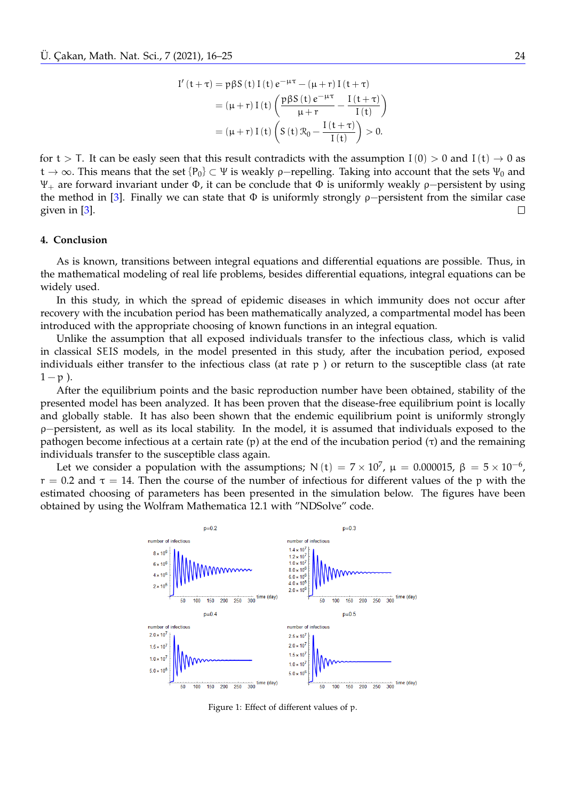$$
I'(t+\tau) = p\beta S(t) I(t) e^{-\mu\tau} - (\mu + r) I(t+\tau)
$$
  
=  $(\mu + r) I(t) \left( \frac{p\beta S(t) e^{-\mu\tau}}{\mu + r} - \frac{I(t+\tau)}{I(t)} \right)$   
=  $(\mu + r) I(t) \left( S(t) \mathcal{R}_0 - \frac{I(t+\tau)}{I(t)} \right) > 0.$ 

for  $t > T$ . It can be easly seen that this result contradicts with the assumption  $I(0) > 0$  and  $I(t) \rightarrow 0$  as  $t \to \infty$ . This means that the set {P<sub>0</sub>} ⊂ Ψ is weakly ρ–repelling. Taking into account that the sets  $\Psi_0$  and  $Ψ_+$  are forward invariant under Φ, it can be conclude that Φ is uniformly weakly  $ρ$ -persistent by using the method in [\[3\]](#page-9-18). Finally we can state that Φ is uniformly strongly ρ−persistent from the similar case given in [\[3\]](#page-9-18). П

#### **4. Conclusion**

As is known, transitions between integral equations and differential equations are possible. Thus, in the mathematical modeling of real life problems, besides differential equations, integral equations can be widely used.

In this study, in which the spread of epidemic diseases in which immunity does not occur after recovery with the incubation period has been mathematically analyzed, a compartmental model has been introduced with the appropriate choosing of known functions in an integral equation.

Unlike the assumption that all exposed individuals transfer to the infectious class, which is valid in classical SEIS models, in the model presented in this study, after the incubation period, exposed individuals either transfer to the infectious class (at rate p ) or return to the susceptible class (at rate  $1 - p$ ).

After the equilibrium points and the basic reproduction number have been obtained, stability of the presented model has been analyzed. It has been proven that the disease-free equilibrium point is locally and globally stable. It has also been shown that the endemic equilibrium point is uniformly strongly ρ−persistent, as well as its local stability. In the model, it is assumed that individuals exposed to the pathogen become infectious at a certain rate (p) at the end of the incubation period (τ) and the remaining individuals transfer to the susceptible class again.

Let we consider a population with the assumptions; N  $(t)$  =  $7 \times 10^7$ ,  $\mu$  = 0.000015,  $\beta$  =  $5 \times 10^{-6}$ ,  $r = 0.2$  and  $\tau = 14$ . Then the course of the number of infectious for different values of the p with the estimated choosing of parameters has been presented in the simulation below. The figures have been obtained by using the Wolfram Mathematica 12.1 with "NDSolve" code.



Figure 1: Effect of different values of p.